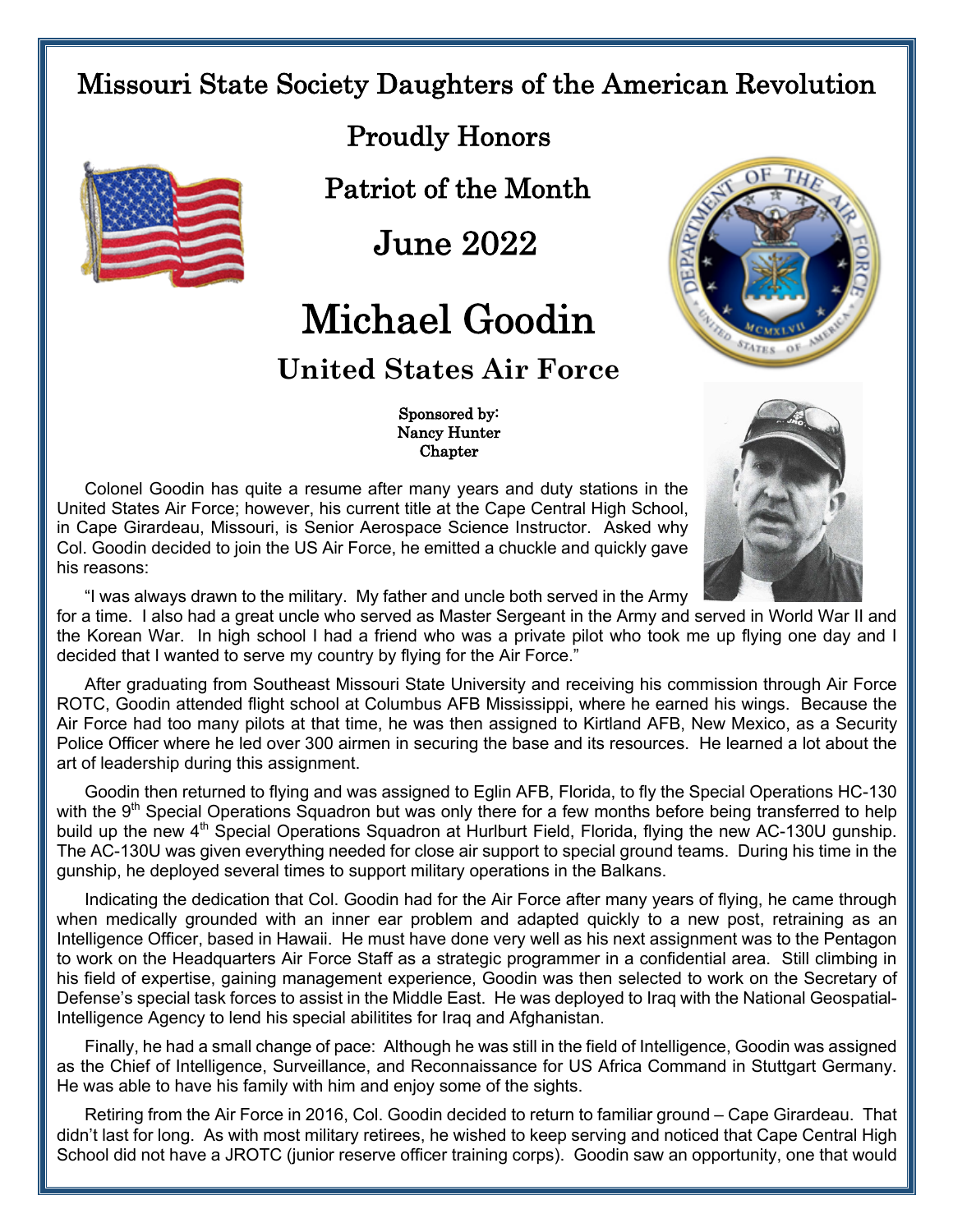## Missouri State Society Daughters of the American Revolution



Proudly Honors

Patriot of the Month

June 2022

## Michael Goodin

## **United States Air Force**



 Sponsored by: Nancy Hunter **Chapter** 

Colonel Goodin has quite a resume after many years and duty stations in the United States Air Force; however, his current title at the Cape Central High School, in Cape Girardeau, Missouri, is Senior Aerospace Science Instructor. Asked why Col. Goodin decided to join the US Air Force, he emitted a chuckle and quickly gave his reasons:



"I was always drawn to the military. My father and uncle both served in the Army

for a time. I also had a great uncle who served as Master Sergeant in the Army and served in World War II and the Korean War. In high school I had a friend who was a private pilot who took me up flying one day and I decided that I wanted to serve my country by flying for the Air Force."

After graduating from Southeast Missouri State University and receiving his commission through Air Force ROTC, Goodin attended flight school at Columbus AFB Mississippi, where he earned his wings. Because the Air Force had too many pilots at that time, he was then assigned to Kirtland AFB, New Mexico, as a Security Police Officer where he led over 300 airmen in securing the base and its resources. He learned a lot about the art of leadership during this assignment.

Goodin then returned to flying and was assigned to Eglin AFB, Florida, to fly the Special Operations HC-130 with the 9<sup>th</sup> Special Operations Squadron but was only there for a few months before being transferred to help build up the new 4<sup>th</sup> Special Operations Squadron at Hurlburt Field, Florida, flying the new AC-130U gunship. The AC-130U was given everything needed for close air support to special ground teams. During his time in the gunship, he deployed several times to support military operations in the Balkans.

Indicating the dedication that Col. Goodin had for the Air Force after many years of flying, he came through when medically grounded with an inner ear problem and adapted quickly to a new post, retraining as an Intelligence Officer, based in Hawaii. He must have done very well as his next assignment was to the Pentagon to work on the Headquarters Air Force Staff as a strategic programmer in a confidential area. Still climbing in his field of expertise, gaining management experience, Goodin was then selected to work on the Secretary of Defense's special task forces to assist in the Middle East. He was deployed to Iraq with the National Geospatial-Intelligence Agency to lend his special abilitites for Iraq and Afghanistan.

Finally, he had a small change of pace: Although he was still in the field of Intelligence, Goodin was assigned as the Chief of Intelligence, Surveillance, and Reconnaissance for US Africa Command in Stuttgart Germany. He was able to have his family with him and enjoy some of the sights.

Retiring from the Air Force in 2016, Col. Goodin decided to return to familiar ground – Cape Girardeau. That didn't last for long. As with most military retirees, he wished to keep serving and noticed that Cape Central High School did not have a JROTC (junior reserve officer training corps). Goodin saw an opportunity, one that would